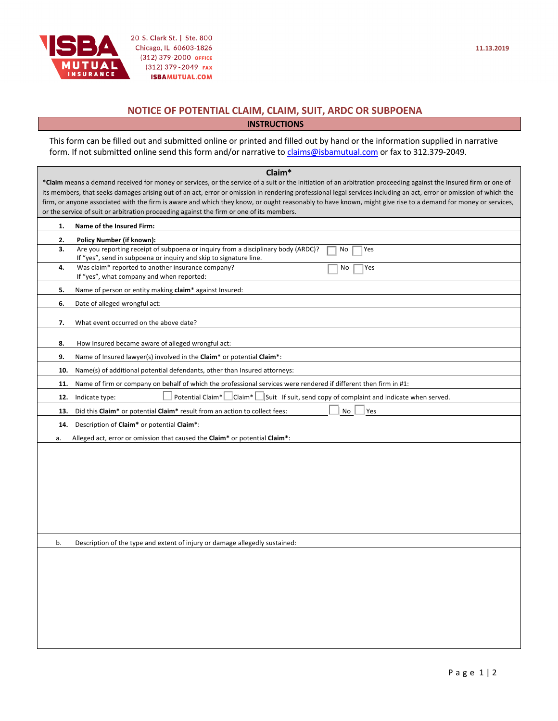

## **NOTICE OF POTENTIAL CLAIM, CLAIM, SUIT, ARDC OR SUBPOENA**

**INSTRUCTIONS**

This form can be filled out and submitted online or printed and filled out by hand or the information supplied in narrative form. If not submitted online send this form and/or narrative to claims@isbamutual.com or fax to 312.379-2049.

| Claim*<br>*Claim means a demand received for money or services, or the service of a suit or the initiation of an arbitration proceeding against the Insured firm or one of<br>its members, that seeks damages arising out of an act, error or omission in rendering professional legal services including an act, error or omission of which the<br>firm, or anyone associated with the firm is aware and which they know, or ought reasonably to have known, might give rise to a demand for money or services,<br>or the service of suit or arbitration proceeding against the firm or one of its members. |                                                                                                                                                                     |  |  |
|--------------------------------------------------------------------------------------------------------------------------------------------------------------------------------------------------------------------------------------------------------------------------------------------------------------------------------------------------------------------------------------------------------------------------------------------------------------------------------------------------------------------------------------------------------------------------------------------------------------|---------------------------------------------------------------------------------------------------------------------------------------------------------------------|--|--|
| 1.<br>Name of the Insured Firm:                                                                                                                                                                                                                                                                                                                                                                                                                                                                                                                                                                              |                                                                                                                                                                     |  |  |
| 2.                                                                                                                                                                                                                                                                                                                                                                                                                                                                                                                                                                                                           | <b>Policy Number (if known):</b>                                                                                                                                    |  |  |
| 3.                                                                                                                                                                                                                                                                                                                                                                                                                                                                                                                                                                                                           | Are you reporting receipt of subpoena or inquiry from a disciplinary body (ARDC)?<br>No<br>Yes<br>If "yes", send in subpoena or inquiry and skip to signature line. |  |  |
| 4.                                                                                                                                                                                                                                                                                                                                                                                                                                                                                                                                                                                                           | Was claim* reported to another insurance company?<br>Yes<br>No<br>If "yes", what company and when reported:                                                         |  |  |
| 5.                                                                                                                                                                                                                                                                                                                                                                                                                                                                                                                                                                                                           | Name of person or entity making claim* against Insured:                                                                                                             |  |  |
| 6.                                                                                                                                                                                                                                                                                                                                                                                                                                                                                                                                                                                                           | Date of alleged wrongful act:                                                                                                                                       |  |  |
| 7.                                                                                                                                                                                                                                                                                                                                                                                                                                                                                                                                                                                                           | What event occurred on the above date?                                                                                                                              |  |  |
| 8.                                                                                                                                                                                                                                                                                                                                                                                                                                                                                                                                                                                                           | How Insured became aware of alleged wrongful act:                                                                                                                   |  |  |
| 9.                                                                                                                                                                                                                                                                                                                                                                                                                                                                                                                                                                                                           | Name of Insured lawyer(s) involved in the Claim* or potential Claim*:                                                                                               |  |  |
| 10.                                                                                                                                                                                                                                                                                                                                                                                                                                                                                                                                                                                                          | Name(s) of additional potential defendants, other than Insured attorneys:                                                                                           |  |  |
| 11.                                                                                                                                                                                                                                                                                                                                                                                                                                                                                                                                                                                                          | Name of firm or company on behalf of which the professional services were rendered if different then firm in #1:                                                    |  |  |
| 12.                                                                                                                                                                                                                                                                                                                                                                                                                                                                                                                                                                                                          | Potential Claim*<br>$ Claim* $<br>Suit If suit, send copy of complaint and indicate when served.<br>Indicate type:                                                  |  |  |
| 13.                                                                                                                                                                                                                                                                                                                                                                                                                                                                                                                                                                                                          | Did this Claim* or potential Claim* result from an action to collect fees:<br>No<br>Yes                                                                             |  |  |
| 14.                                                                                                                                                                                                                                                                                                                                                                                                                                                                                                                                                                                                          | Description of Claim* or potential Claim*:                                                                                                                          |  |  |
| а.                                                                                                                                                                                                                                                                                                                                                                                                                                                                                                                                                                                                           | Alleged act, error or omission that caused the Claim* or potential Claim*:                                                                                          |  |  |
|                                                                                                                                                                                                                                                                                                                                                                                                                                                                                                                                                                                                              |                                                                                                                                                                     |  |  |
| b.                                                                                                                                                                                                                                                                                                                                                                                                                                                                                                                                                                                                           | Description of the type and extent of injury or damage allegedly sustained:                                                                                         |  |  |
|                                                                                                                                                                                                                                                                                                                                                                                                                                                                                                                                                                                                              |                                                                                                                                                                     |  |  |